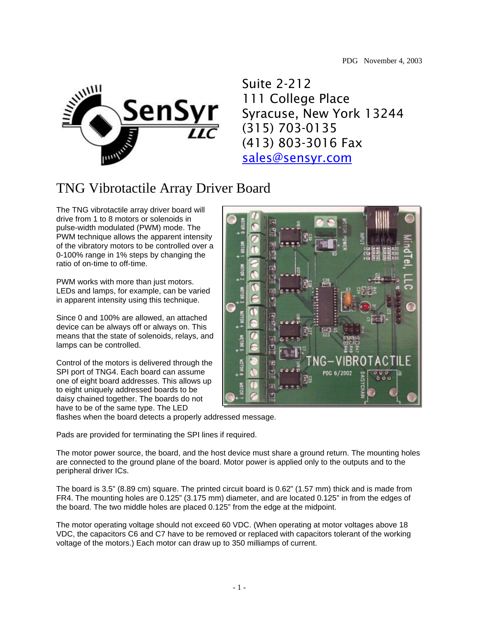

Suite 2-212 111 College Place Syracuse, New York 13244 (315) 703-0135 (413) 803-3016 Fax sales@sensyr.com

## TNG Vibrotactile Array Driver Board

The TNG vibrotactile array driver board will drive from 1 to 8 motors or solenoids in pulse-width modulated (PWM) mode. The PWM technique allows the apparent intensity of the vibratory motors to be controlled over a 0-100% range in 1% steps by changing the ratio of on-time to off-time.

PWM works with more than just motors. LEDs and lamps, for example, can be varied in apparent intensity using this technique.

Since 0 and 100% are allowed, an attached device can be always off or always on. This means that the state of solenoids, relays, and lamps can be controlled.

Control of the motors is delivered through the SPI port of TNG4. Each board can assume one of eight board addresses. This allows up to eight uniquely addressed boards to be daisy chained together. The boards do not have to be of the same type. The LED



flashes when the board detects a properly addressed message.

Pads are provided for terminating the SPI lines if required.

The motor power source, the board, and the host device must share a ground return. The mounting holes are connected to the ground plane of the board. Motor power is applied only to the outputs and to the peripheral driver ICs.

The board is 3.5" (8.89 cm) square. The printed circuit board is 0.62" (1.57 mm) thick and is made from FR4. The mounting holes are 0.125" (3.175 mm) diameter, and are located 0.125" in from the edges of the board. The two middle holes are placed 0.125" from the edge at the midpoint.

The motor operating voltage should not exceed 60 VDC. (When operating at motor voltages above 18 VDC, the capacitors C6 and C7 have to be removed or replaced with capacitors tolerant of the working voltage of the motors.) Each motor can draw up to 350 milliamps of current.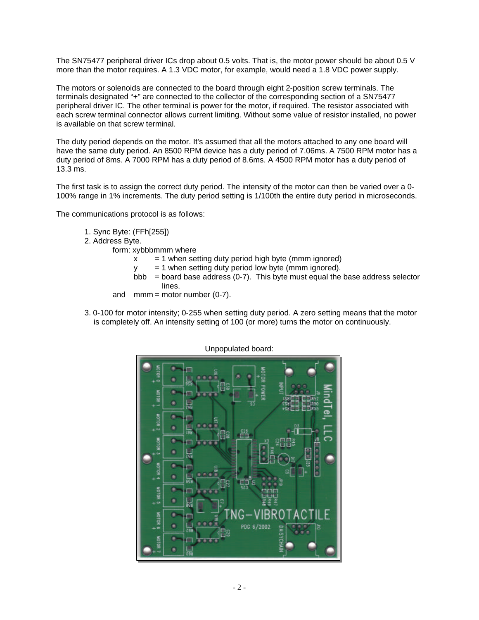The SN75477 peripheral driver ICs drop about 0.5 volts. That is, the motor power should be about 0.5 V more than the motor requires. A 1.3 VDC motor, for example, would need a 1.8 VDC power supply.

The motors or solenoids are connected to the board through eight 2-position screw terminals. The terminals designated "+" are connected to the collector of the corresponding section of a SN75477 peripheral driver IC. The other terminal is power for the motor, if required. The resistor associated with each screw terminal connector allows current limiting. Without some value of resistor installed, no power is available on that screw terminal.

The duty period depends on the motor. It's assumed that all the motors attached to any one board will have the same duty period. An 8500 RPM device has a duty period of 7.06ms. A 7500 RPM motor has a duty period of 8ms. A 7000 RPM has a duty period of 8.6ms. A 4500 RPM motor has a duty period of 13.3 ms.

The first task is to assign the correct duty period. The intensity of the motor can then be varied over a 0- 100% range in 1% increments. The duty period setting is 1/100th the entire duty period in microseconds.

The communications protocol is as follows:

- 1. Sync Byte: (FFh[255])
- 2. Address Byte.

form: xybbbmmm where

- $x = 1$  when setting duty period high byte (mmm ignored)
- $y = 1$  when setting duty period low byte (mmm ignored).
- $bb =$  board base address (0-7). This byte must equal the base address selector lines.
- and  $mmm = motor number (0-7)$ .
- 3. 0-100 for motor intensity; 0-255 when setting duty period. A zero setting means that the motor is completely off. An intensity setting of 100 (or more) turns the motor on continuously.



Unpopulated board: